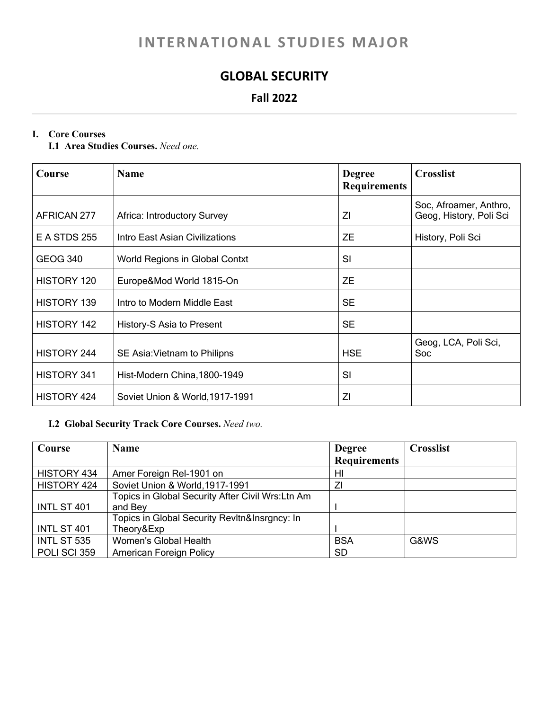# **INTERNATIONAL STUDIES MAJOR**

## **GLOBAL SECURITY**

### **Fall 2022**

#### **I. Core Courses**

**I.1 Area Studies Courses.** *Need one.*

| Course              | <b>Name</b>                        | <b>Degree</b><br><b>Requirements</b> | <b>Crosslist</b>                                  |
|---------------------|------------------------------------|--------------------------------------|---------------------------------------------------|
| AFRICAN 277         | <b>Africa: Introductory Survey</b> | ΖI                                   | Soc, Afroamer, Anthro,<br>Geog, History, Poli Sci |
| <b>E A STDS 255</b> | Intro East Asian Civilizations     | <b>ZE</b>                            | History, Poli Sci                                 |
| <b>GEOG 340</b>     | World Regions in Global Contxt     | SI                                   |                                                   |
| HISTORY 120         | Europe&Mod World 1815-On           | <b>ZE</b>                            |                                                   |
| <b>HISTORY 139</b>  | Intro to Modern Middle East        | <b>SE</b>                            |                                                   |
| <b>HISTORY 142</b>  | History-S Asia to Present          | <b>SE</b>                            |                                                   |
| <b>HISTORY 244</b>  | SE Asia: Vietnam to Philipns       | <b>HSE</b>                           | Geog, LCA, Poli Sci,<br>Soc                       |
| <b>HISTORY 341</b>  | Hist-Modern China, 1800-1949       | SI                                   |                                                   |
| <b>HISTORY 424</b>  | Soviet Union & World, 1917-1991    | ΖI                                   |                                                   |

#### **I.2 Global Security Track Core Courses.** *Need two.*

| Course       | <b>Name</b>                                       | <b>Degree</b>       | <b>Crosslist</b> |
|--------------|---------------------------------------------------|---------------------|------------------|
|              |                                                   | <b>Requirements</b> |                  |
| HISTORY 434  | Amer Foreign Rel-1901 on                          | HI                  |                  |
| HISTORY 424  | Soviet Union & World, 1917-1991                   |                     |                  |
|              | Topics in Global Security After Civil Wrs: Ltn Am |                     |                  |
| INTL ST 401  | and Bey                                           |                     |                  |
|              | Topics in Global Security Revltn&Insrgncy: In     |                     |                  |
| INTL ST 401  | Theory&Exp                                        |                     |                  |
| INTL ST 535  | Women's Global Health                             | <b>BSA</b>          | G&WS             |
| POLI SCI 359 | <b>American Foreign Policy</b>                    | <b>SD</b>           |                  |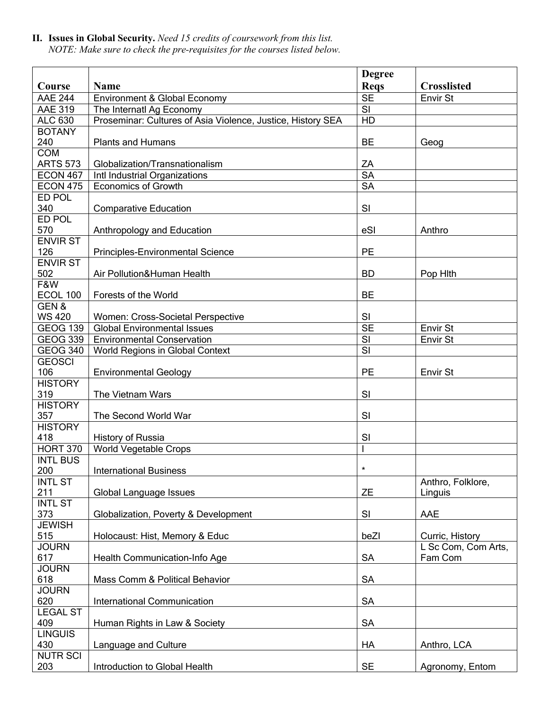**II. Issues in Global Security.** *Need 15 credits of coursework from this list. NOTE: Make sure to check the pre-requisites for the courses listed below.* 

|                       |                                                             | <b>Degree</b>          |                     |
|-----------------------|-------------------------------------------------------------|------------------------|---------------------|
| Course                | <b>Name</b>                                                 | <b>Reqs</b>            | <b>Crosslisted</b>  |
| <b>AAE 244</b>        | Environment & Global Economy                                | <b>SE</b>              | Envir St            |
| <b>AAE 319</b>        | The Internatl Ag Economy                                    | SI                     |                     |
| <b>ALC 630</b>        | Proseminar: Cultures of Asia Violence, Justice, History SEA | HD                     |                     |
| <b>BOTANY</b>         |                                                             |                        |                     |
| 240                   | <b>Plants and Humans</b>                                    | <b>BE</b>              | Geog                |
| <b>COM</b>            |                                                             |                        |                     |
| <b>ARTS 573</b>       | Globalization/Transnationalism                              | ZA                     |                     |
| <b>ECON 467</b>       | Intl Industrial Organizations                               | $\overline{\text{SA}}$ |                     |
| <b>ECON 475</b>       | <b>Economics of Growth</b>                                  | $\overline{\text{SA}}$ |                     |
| ED POL                |                                                             |                        |                     |
| 340                   | <b>Comparative Education</b>                                | SI                     |                     |
| ED POL                |                                                             |                        |                     |
| 570                   | Anthropology and Education                                  | eSI                    | Anthro              |
| <b>ENVIR ST</b>       |                                                             |                        |                     |
| 126                   | Principles-Environmental Science                            | PE                     |                     |
| <b>ENVIR ST</b>       |                                                             |                        |                     |
| 502                   | Air Pollution&Human Health                                  | <b>BD</b>              | Pop Hith            |
| F&W                   |                                                             |                        |                     |
| <b>ECOL 100</b>       | Forests of the World                                        | <b>BE</b>              |                     |
| GEN&                  |                                                             |                        |                     |
| <b>WS 420</b>         | Women: Cross-Societal Perspective                           | SI                     |                     |
| <b>GEOG 139</b>       | <b>Global Environmental Issues</b>                          | <b>SE</b>              | Envir St            |
| <b>GEOG 339</b>       | <b>Environmental Conservation</b>                           | SI                     | <b>Envir St</b>     |
| <b>GEOG 340</b>       | World Regions in Global Context                             | SI                     |                     |
| <b>GEOSCI</b>         |                                                             |                        |                     |
| 106                   | <b>Environmental Geology</b>                                | <b>PE</b>              | Envir St            |
| <b>HISTORY</b><br>319 |                                                             | SI                     |                     |
| <b>HISTORY</b>        | The Vietnam Wars                                            |                        |                     |
| 357                   | The Second World War                                        | SI                     |                     |
| <b>HISTORY</b>        |                                                             |                        |                     |
| 418                   | History of Russia                                           | SI                     |                     |
| <b>HORT 370</b>       | <b>World Vegetable Crops</b>                                |                        |                     |
| <b>INTL BUS</b>       |                                                             |                        |                     |
| 200                   | <b>International Business</b>                               | $\star$                |                     |
| <b>INTL ST</b>        |                                                             |                        | Anthro, Folklore,   |
| 211                   | Global Language Issues                                      | <b>ZE</b>              | Linguis             |
| <b>INTL ST</b>        |                                                             |                        |                     |
| 373                   | Globalization, Poverty & Development                        | SI                     | AAE                 |
| <b>JEWISH</b>         |                                                             |                        |                     |
| 515                   | Holocaust: Hist, Memory & Educ                              | beZl                   | Curric, History     |
| <b>JOURN</b>          |                                                             |                        | L Sc Com, Com Arts, |
| 617                   | Health Communication-Info Age                               | <b>SA</b>              | Fam Com             |
| <b>JOURN</b>          |                                                             |                        |                     |
| 618                   | Mass Comm & Political Behavior                              | <b>SA</b>              |                     |
| <b>JOURN</b>          |                                                             |                        |                     |
| 620                   | International Communication                                 | <b>SA</b>              |                     |
| <b>LEGAL ST</b>       |                                                             |                        |                     |
| 409                   | Human Rights in Law & Society                               | <b>SA</b>              |                     |
| <b>LINGUIS</b>        |                                                             |                        |                     |
| 430                   | Language and Culture                                        | HA                     | Anthro, LCA         |
| <b>NUTR SCI</b>       |                                                             |                        |                     |
| 203                   | Introduction to Global Health                               | <b>SE</b>              | Agronomy, Entom     |